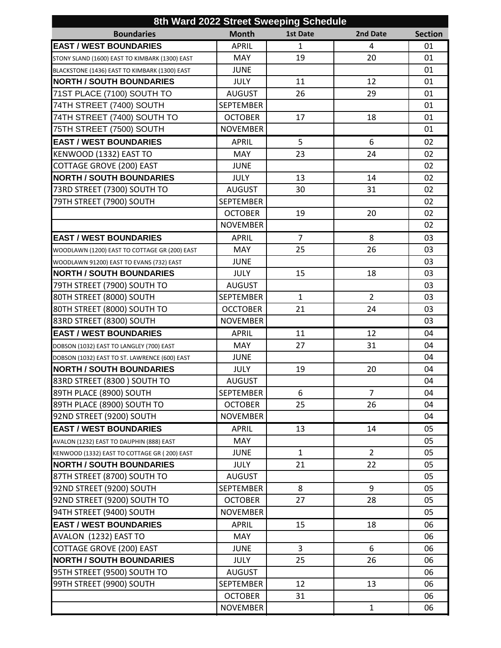|                                                |                  | 8th Ward 2022 Street Sweeping Schedule |                |                |
|------------------------------------------------|------------------|----------------------------------------|----------------|----------------|
| <b>Boundaries</b>                              | <b>Month</b>     | <b>1st Date</b>                        | 2nd Date       | <b>Section</b> |
| <b>EAST / WEST BOUNDARIES</b>                  | <b>APRIL</b>     | 1                                      | 4              | 01             |
| STONY SLAND (1600) EAST TO KIMBARK (1300) EAST | <b>MAY</b>       | 19                                     | 20             | 01             |
| BLACKSTONE (1436) EAST TO KIMBARK (1300) EAST  | <b>JUNE</b>      |                                        |                | 01             |
| <b>NORTH / SOUTH BOUNDARIES</b>                | <b>JULY</b>      | 11                                     | 12             | 01             |
| 71ST PLACE (7100) SOUTH TO                     | <b>AUGUST</b>    | 26                                     | 29             | 01             |
| 74TH STREET (7400) SOUTH                       | <b>SEPTEMBER</b> |                                        |                | 01             |
| 74TH STREET (7400) SOUTH TO                    | <b>OCTOBER</b>   | 17                                     | 18             | 01             |
| 75TH STREET (7500) SOUTH                       | <b>NOVEMBER</b>  |                                        |                | 01             |
| <b>EAST / WEST BOUNDARIES</b>                  | <b>APRIL</b>     | 5                                      | 6              | 02             |
| KENWOOD (1332) EAST TO                         | <b>MAY</b>       | 23                                     | 24             | 02             |
| <b>COTTAGE GROVE (200) EAST</b>                | <b>JUNE</b>      |                                        |                | 02             |
| <b>NORTH / SOUTH BOUNDARIES</b>                | <b>JULY</b>      | 13                                     | 14             | 02             |
| 73RD STREET (7300) SOUTH TO                    | <b>AUGUST</b>    | 30                                     | 31             | 02             |
| 79TH STREET (7900) SOUTH                       | <b>SEPTEMBER</b> |                                        |                | 02             |
|                                                | <b>OCTOBER</b>   | 19                                     | 20             | 02             |
|                                                | <b>NOVEMBER</b>  |                                        |                | 02             |
| <b>EAST / WEST BOUNDARIES</b>                  | <b>APRIL</b>     | $\overline{7}$                         | 8              | 03             |
| WOODLAWN (1200) EAST TO COTTAGE GR (200) EAST  | <b>MAY</b>       | 25                                     | 26             | 03             |
| WOODLAWN 91200) EAST TO EVANS (732) EAST       | <b>JUNE</b>      |                                        |                | 03             |
| <b>NORTH / SOUTH BOUNDARIES</b>                | <b>JULY</b>      | 15                                     | 18             | 03             |
| 79TH STREET (7900) SOUTH TO                    | <b>AUGUST</b>    |                                        |                | 03             |
| 80TH STREET (8000) SOUTH                       | <b>SEPTEMBER</b> | 1                                      | $\overline{2}$ | 03             |
| 80TH STREET (8000) SOUTH TO                    | <b>OCCTOBER</b>  | 21                                     | 24             | 03             |
| 83RD STREET (8300) SOUTH                       | <b>NOVEMBER</b>  |                                        |                | 03             |
| <b>EAST / WEST BOUNDARIES</b>                  | <b>APRIL</b>     | 11                                     | 12             | 04             |
| DOBSON (1032) EAST TO LANGLEY (700) EAST       | <b>MAY</b>       | 27                                     | 31             | 04             |
| DOBSON (1032) EAST TO ST. LAWRENCE (600) EAST  | <b>JUNE</b>      |                                        |                | 04             |
| <b>NORTH / SOUTH BOUNDARIES</b>                | <b>JULY</b>      | 19                                     | 20             | 04             |
| 83RD STREET (8300) SOUTH TO                    | <b>AUGUST</b>    |                                        |                | 04             |
| 89TH PLACE (8900) SOUTH                        | <b>SEPTEMBER</b> | 6                                      | $\overline{7}$ | 04             |
| 89TH PLACE (8900) SOUTH TO                     | <b>OCTOBER</b>   | 25                                     | 26             | 04             |
| 92ND STREET (9200) SOUTH                       | <b>NOVEMBER</b>  |                                        |                | 04             |
| <b>EAST / WEST BOUNDARIES</b>                  | <b>APRIL</b>     | 13                                     | 14             | 05             |
| AVALON (1232) EAST TO DAUPHIN (888) EAST       | <b>MAY</b>       |                                        |                | 05             |
| KENWOOD (1332) EAST TO COTTAGE GR (200) EAST   | <b>JUNE</b>      | $\mathbf{1}$                           | $\overline{2}$ | 05             |
| <b>NORTH / SOUTH BOUNDARIES</b>                | <b>JULY</b>      | 21                                     | 22             | 05             |
| 87TH STREET (8700) SOUTH TO                    | <b>AUGUST</b>    |                                        |                | 05             |
| 92ND STREET (9200) SOUTH                       | <b>SEPTEMBER</b> | 8                                      | 9              | 05             |
| 92ND STREET (9200) SOUTH TO                    | <b>OCTOBER</b>   | 27                                     | 28             | 05             |
| 94TH STREET (9400) SOUTH                       | <b>NOVEMBER</b>  |                                        |                | 05             |
| <b>EAST / WEST BOUNDARIES</b>                  | <b>APRIL</b>     | 15                                     | 18             | 06             |
| AVALON (1232) EAST TO                          | <b>MAY</b>       |                                        |                | 06             |
| <b>COTTAGE GROVE (200) EAST</b>                | <b>JUNE</b>      | 3                                      | 6              | 06             |
| <b>NORTH / SOUTH BOUNDARIES</b>                | <b>JULY</b>      | 25                                     | 26             | 06             |
| 95TH STREET (9500) SOUTH TO                    | <b>AUGUST</b>    |                                        |                | 06             |
| 99TH STREET (9900) SOUTH                       | <b>SEPTEMBER</b> | 12                                     | 13             | 06             |
|                                                | <b>OCTOBER</b>   | 31                                     |                | 06             |
|                                                | <b>NOVEMBER</b>  |                                        | $\mathbf{1}$   | 06             |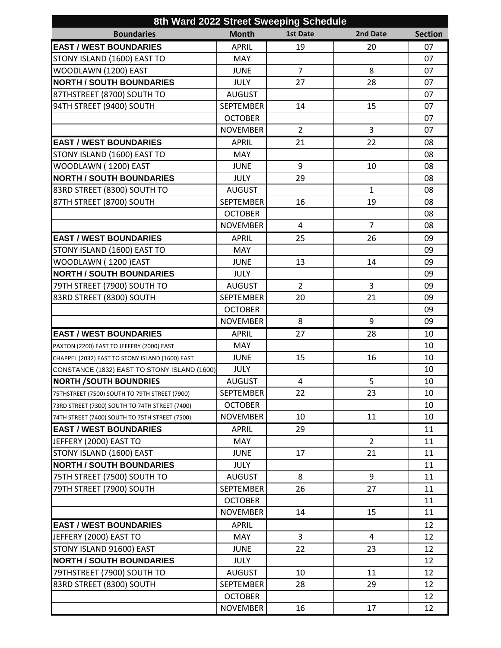| 8th Ward 2022 Street Sweeping Schedule          |                  |                 |                |                |  |  |  |
|-------------------------------------------------|------------------|-----------------|----------------|----------------|--|--|--|
| <b>Boundaries</b>                               | <b>Month</b>     | <b>1st Date</b> | 2nd Date       | <b>Section</b> |  |  |  |
| <b>EAST / WEST BOUNDARIES</b>                   | <b>APRIL</b>     | 19              | 20             | 07             |  |  |  |
| STONY ISLAND (1600) EAST TO                     | MAY              |                 |                | 07             |  |  |  |
| WOODLAWN (1200) EAST                            | <b>JUNE</b>      | $\overline{7}$  | 8              | 07             |  |  |  |
| <b>NORTH / SOUTH BOUNDARIES</b>                 | <b>JULY</b>      | 27              | 28             | 07             |  |  |  |
| 87THSTREET (8700) SOUTH TO                      | <b>AUGUST</b>    |                 |                | 07             |  |  |  |
| 94TH STREET (9400) SOUTH                        | <b>SEPTEMBER</b> | 14              | 15             | 07             |  |  |  |
|                                                 | <b>OCTOBER</b>   |                 |                | 07             |  |  |  |
|                                                 | <b>NOVEMBER</b>  | $\overline{2}$  | 3              | 07             |  |  |  |
| <b>EAST / WEST BOUNDARIES</b>                   | <b>APRIL</b>     | 21              | 22             | 08             |  |  |  |
| STONY ISLAND (1600) EAST TO                     | MAY              |                 |                | 08             |  |  |  |
| WOODLAWN (1200) EAST                            | <b>JUNE</b>      | 9               | 10             | 08             |  |  |  |
| <b>NORTH / SOUTH BOUNDARIES</b>                 | JULY             | 29              |                | 08             |  |  |  |
| 83RD STREET (8300) SOUTH TO                     | <b>AUGUST</b>    |                 | $\mathbf{1}$   | 08             |  |  |  |
| 87TH STREET (8700) SOUTH                        | <b>SEPTEMBER</b> | 16              | 19             | 08             |  |  |  |
|                                                 | <b>OCTOBER</b>   |                 |                | 08             |  |  |  |
|                                                 | <b>NOVEMBER</b>  | 4               | $\overline{7}$ | 08             |  |  |  |
| <b>EAST / WEST BOUNDARIES</b>                   | <b>APRIL</b>     | 25              | 26             | 09             |  |  |  |
| STONY ISLAND (1600) EAST TO                     | MAY              |                 |                | 09             |  |  |  |
| WOODLAWN (1200) EAST                            | <b>JUNE</b>      | 13              | 14             | 09             |  |  |  |
| <b>NORTH / SOUTH BOUNDARIES</b>                 | <b>JULY</b>      |                 |                | 09             |  |  |  |
| 79TH STREET (7900) SOUTH TO                     | <b>AUGUST</b>    | $\overline{2}$  | 3              | 09             |  |  |  |
| 83RD STREET (8300) SOUTH                        | <b>SEPTEMBER</b> | 20              | 21             | 09             |  |  |  |
|                                                 | <b>OCTOBER</b>   |                 |                | 09             |  |  |  |
|                                                 | <b>NOVEMBER</b>  | 8               | 9              | 09             |  |  |  |
| <b>EAST / WEST BOUNDARIES</b>                   | <b>APRIL</b>     | 27              | 28             | 10             |  |  |  |
| PAXTON (2200) EAST TO JEFFERY (2000) EAST       | MAY              |                 |                | 10             |  |  |  |
| CHAPPEL (2032) EAST TO STONY ISLAND (1600) EAST | <b>JUNE</b>      | 15              | 16             | 10             |  |  |  |
| CONSTANCE (1832) EAST TO STONY ISLAND (1600)    | JULY             |                 |                | 10             |  |  |  |
| <b>NORTH / SOUTH BOUNDRIES</b>                  | <b>AUGUST</b>    | $\overline{4}$  | 5              | 10             |  |  |  |
| 75THSTREET (7500) SOUTH TO 79TH STREET (7900)   | <b>SEPTEMBER</b> | 22              | 23             | 10             |  |  |  |
| 73RD STREET (7300) SOUTH TO 74TH STREET (7400)  | <b>OCTOBER</b>   |                 |                | 10             |  |  |  |
| 74TH STREET (7400) SOUTH TO 75TH STREET (7500)  | <b>NOVEMBER</b>  | 10              | 11             | 10             |  |  |  |
| <b>EAST / WEST BOUNDARIES</b>                   | <b>APRIL</b>     | 29              |                | 11             |  |  |  |
| JEFFERY (2000) EAST TO                          | <b>MAY</b>       |                 | $\overline{2}$ | 11             |  |  |  |
| STONY ISLAND (1600) EAST                        | <b>JUNE</b>      | 17              | 21             | 11             |  |  |  |
| <b>NORTH / SOUTH BOUNDARIES</b>                 | <b>JULY</b>      |                 |                | 11             |  |  |  |
| 75TH STREET (7500) SOUTH TO                     | <b>AUGUST</b>    | 8               | 9              | 11             |  |  |  |
| 79TH STREET (7900) SOUTH                        | <b>SEPTEMBER</b> | 26              | 27             | 11             |  |  |  |
|                                                 | <b>OCTOBER</b>   |                 |                | 11             |  |  |  |
|                                                 | <b>NOVEMBER</b>  | 14              | 15             | 11             |  |  |  |
| <b>EAST / WEST BOUNDARIES</b>                   | <b>APRIL</b>     |                 |                | 12             |  |  |  |
| JEFFERY (2000) EAST TO                          | MAY              | $\overline{3}$  | 4              | 12             |  |  |  |
| STONY ISLAND 91600) EAST                        | <b>JUNE</b>      | 22              | 23             | 12             |  |  |  |
| <b>NORTH / SOUTH BOUNDARIES</b>                 | <b>JULY</b>      |                 |                | 12             |  |  |  |
| 79THSTREET (7900) SOUTH TO                      | <b>AUGUST</b>    | 10              | 11             | 12             |  |  |  |
| 83RD STREET (8300) SOUTH                        | <b>SEPTEMBER</b> | 28              | 29             | 12             |  |  |  |
|                                                 | <b>OCTOBER</b>   |                 |                | 12             |  |  |  |
|                                                 | <b>NOVEMBER</b>  | 16              | 17             | 12             |  |  |  |